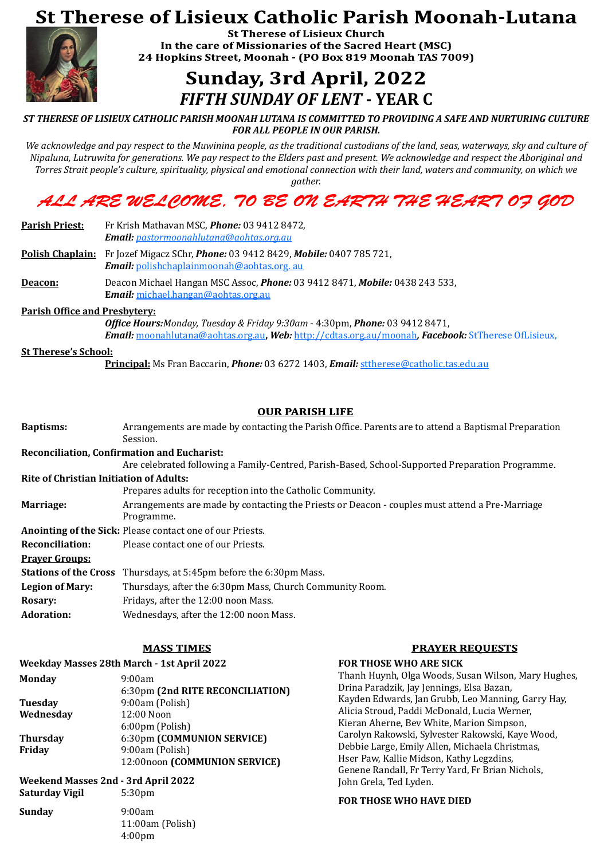# **St Therese of Lisieux Catholic Parish Moonah-Lutana**



**St Therese of Lisieux Church** In the care of Missionaries of the Sacred Heart (MSC) 24 Hopkins Street, Moonah - (PO Box 819 Moonah TAS 7009)

# **Sunday, 3rd April, 2022** *FIFTH SUNDAY OF LENT* **- YEAR C**

*ST THERESE OF LISIEUX CATHOLIC PARISH MOONAH LUTANA IS COMMITTED TO PROVIDING A SAFE AND NURTURING CULTURE FOR ALL PEOPLE IN OUR PARISH.*

*We acknowledge and pay respect to the Muwinina people, as the traditional custodians of the land, seas, waterways, sky and culture of Nipaluna, Lutruwita for generations. We pay respect to the Elders past and present. We acknowledge and respect the Aboriginal and Torres Strait people's culture, spirituality, physical and emotional connection with their land, waters and community, on which we* 

*gather.*

## ALL ARE WEL COME, 70 BE ON EARTH THE HEART 07 GOD

**Parish Priest:** Fr Krish Mathavan MSC, *Phone:* 03 9412 8472, *Email: [pastormoonahlutana@aohtas.org.au](mailto:pastormoonahlutana@netspace.net.au)*

**Polish Chaplain:** Fr Jozef Migacz SChr, *Phone:* 03 9412 8429, *Mobile:* 0407 785 721, *Email:* [polishchaplainmoonah@aohtas.org. au](mailto:polishcgaplinmoonah@aohtas.org.%20au)

**Deacon:** Deacon Michael Hangan MSC Assoc, *Phone:* 03 9412 8471, *Mobile:* 0438 243 533, **E***mail:* [michael.hangan@aohtas.org.au](mailto:michael.hangan@aohtas.org.au)

**Parish Office and Presbytery:**

*Office Hours:Monday, Tuesday & Friday 9:30am* - 4:30pm, *Phone:* 03 9412 8471, *Email:* [moonahlutana@aohtas.org.au](mailto:moonahlutana@aohtas.org.au)**,** *Web:* <http://cdtas.org.au/moonah>*, Facebook:* StTherese OfLisieux,

#### **St Therese's School:**

**Principal:** Ms Fran Baccarin, *Phone:* 03 6272 1403, *Email:* [sttherese@catholic.tas.edu.au](mailto:sttherese@catholic.tas.edu.au)

#### **OUR PARISH LIFE**

| <b>Baptisms:</b>                               | Arrangements are made by contacting the Parish Office. Parents are to attend a Baptismal Preparation<br>Session. |  |
|------------------------------------------------|------------------------------------------------------------------------------------------------------------------|--|
|                                                | <b>Reconciliation, Confirmation and Eucharist:</b>                                                               |  |
|                                                | Are celebrated following a Family-Centred, Parish-Based, School-Supported Preparation Programme.                 |  |
| <b>Rite of Christian Initiation of Adults:</b> |                                                                                                                  |  |
|                                                | Prepares adults for reception into the Catholic Community.                                                       |  |
| Marriage:                                      | Arrangements are made by contacting the Priests or Deacon - couples must attend a Pre-Marriage<br>Programme.     |  |
|                                                | <b>Anointing of the Sick: Please contact one of our Priests.</b>                                                 |  |
| <b>Reconciliation:</b>                         | Please contact one of our Priests.                                                                               |  |
| <b>Prayer Groups:</b>                          |                                                                                                                  |  |
| <b>Stations of the Cross</b>                   | Thursdays, at 5:45pm before the 6:30pm Mass.                                                                     |  |
| <b>Legion of Mary:</b>                         | Thursdays, after the 6:30pm Mass, Church Community Room.                                                         |  |
| <b>Rosary:</b>                                 | Fridays, after the 12:00 noon Mass.                                                                              |  |
| <b>Adoration:</b>                              | Wednesdays, after the 12:00 noon Mass.                                                                           |  |

#### **Weekday Masses 28th March - 1st April 2022**

**Monday** 9:00am

6:30pm **(2nd RITE RECONCILIATION) Tuesday** 9:00am (Polish) Wednesday 12:00 Noon 6:00pm (Polish) **Thursday** 6:30pm **(COMMUNION SERVICE) Friday** 9:00am (Polish) 12:00noon **(COMMUNION SERVICE)**

## **Weekend Masses 2nd - 3rd April 2022**

**Saturday Vigil** 5:30pm

**Sunday** 9:00am 11:00am (Polish) 4:00pm

#### **FOR THOSE WHO ARE SICK**

Thanh Huynh, Olga Woods, Susan Wilson, Mary Hughes, Drina Paradzik, Jay Jennings, Elsa Bazan, Kayden Edwards, Jan Grubb, Leo Manning, Garry Hay, Alicia Stroud, Paddi McDonald, Lucia Werner, Kieran Aherne, Bev White, Marion Simpson, Carolyn Rakowski, Sylvester Rakowski, Kaye Wood, Debbie Large, Emily Allen, Michaela Christmas, Hser Paw, Kallie Midson, Kathy Legzdins, Genene Randall, Fr Terry Yard, Fr Brian Nichols, John Grela, Ted Lyden.

#### **FOR THOSE WHO HAVE DIED**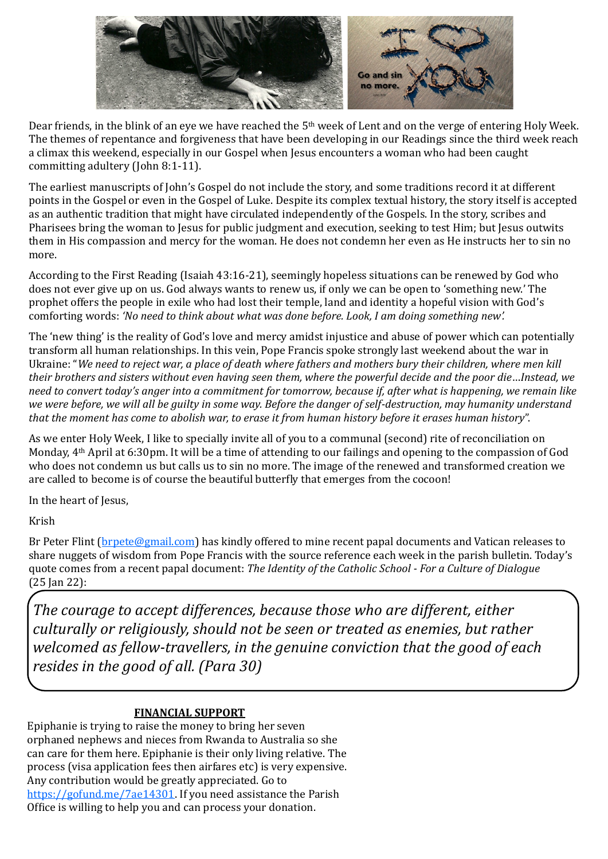

Dear friends, in the blink of an eye we have reached the 5<sup>th</sup> week of Lent and on the verge of entering Holy Week. The themes of repentance and forgiveness that have been developing in our Readings since the third week reach a climax this weekend, especially in our Gospel when Jesus encounters a woman who had been caught committing adultery (John 8:1-11).

The earliest manuscripts of John's Gospel do not include the story, and some traditions record it at different points in the Gospel or even in the Gospel of Luke. Despite its complex textual history, the story itself is accepted as an authentic tradition that might have circulated independently of the Gospels. In the story, scribes and Pharisees bring the woman to Jesus for public judgment and execution, seeking to test Him; but Jesus outwits them in His compassion and mercy for the woman. He does not condemn her even as He instructs her to sin no more.

According to the First Reading (Isaiah 43:16-21), seemingly hopeless situations can be renewed by God who does not ever give up on us. God always wants to renew us, if only we can be open to 'something new.' The prophet offers the people in exile who had lost their temple, land and identity a hopeful vision with God's comforting words: *'No need to think about what was done before. Look, I am doing something new'.*

Br Peter Flint (**brpete@gmail.com**) has kindly offered to mine recent papal documents and Vatican releases to share nuggets of wisdom from Pope Francis with the source reference each week in the parish bulletin. Today's quote comes from a recent papal document: *The Identity of the Catholic School - For a Culture of Dialogue*  (25 Jan 22):

The 'new thing' is the reality of God's love and mercy amidst injustice and abuse of power which can potentially transform all human relationships. In this vein, Pope Francis spoke strongly last weekend about the war in Ukraine: "*We need to reject war, a place of death where fathers and mothers bury their children, where men kill their brothers and sisters without even having seen them, where the powerful decide and the poor die*…*Instead, we need to convert today's anger into a commitment for tomorrow, because if, after what is happening, we remain like we were before, we will all be guilty in some way. Before the danger of self-destruction, may humanity understand that the moment has come to abolish war, to erase it from human history before it erases human history*".

As we enter Holy Week, I like to specially invite all of you to a communal (second) rite of reconciliation on Monday, 4th April at 6:30pm. It will be a time of attending to our failings and opening to the compassion of God who does not condemn us but calls us to sin no more. The image of the renewed and transformed creation we are called to become is of course the beautiful butterfly that emerges from the cocoon!

In the heart of Jesus,

Krish

*The courage to accept differences, because those who are different, either culturally or religiously, should not be seen or treated as enemies, but rather welcomed as fellow-travellers, in the genuine conviction that the good of each resides in the good of all. (Para 30)*

#### **FINANCIAL SUPPORT**

Epiphanie is trying to raise the money to bring her seven orphaned nephews and nieces from Rwanda to Australia so she can care for them here. Epiphanie is their only living relative. The process (visa application fees then airfares etc) is very expensive. Any contribution would be greatly appreciated. Go to [https://gofund.me/7ae14301.](https://gofund.me/7ae14301) If you need assistance the Parish Office is willing to help you and can process your donation.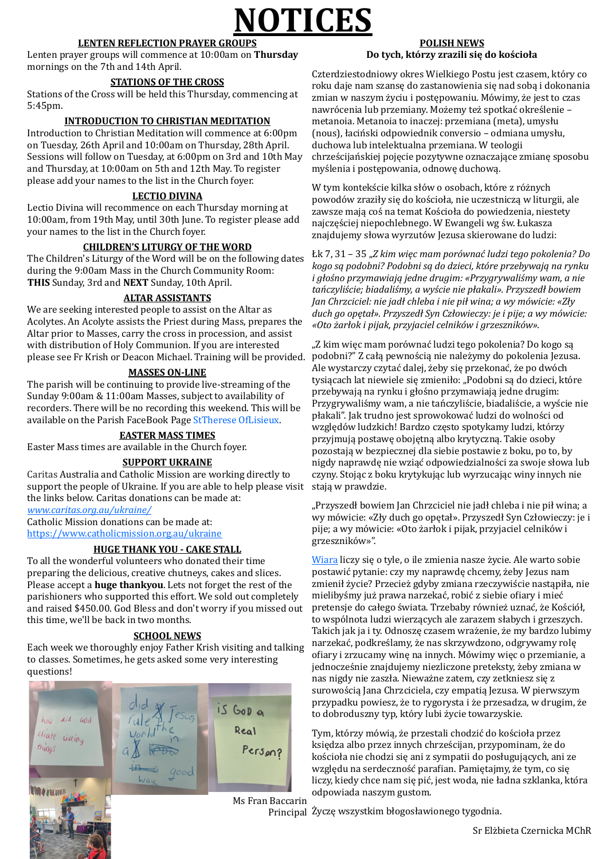# **NOTICES**

#### **LENTEN REFLECTION PRAYER GROUPS**

Lenten prayer groups will commence at 10:00am on **Thursday**  mornings on the 7th and 14th April.

#### **STATIONS OF THE CROSS**

Stations of the Cross will be held this Thursday, commencing at 5:45pm.

#### **INTRODUCTION TO CHRISTIAN MEDITATION**

Introduction to Christian Meditation will commence at 6:00pm on Tuesday, 26th April and 10:00am on Thursday, 28th April. Sessions will follow on Tuesday, at 6:00pm on 3rd and 10th May and Thursday, at 10:00am on 5th and 12th May. To register please add your names to the list in the Church foyer.

#### **LECTIO DIVINA**

Lectio Divina will recommence on each Thursday morning at 10:00am, from 19th May, until 30th June. To register please add your names to the list in the Church foyer.

#### **CHILDREN'S LITURGY OF THE WORD**

The Children's Liturgy of the Word will be on the following dates during the 9:00am Mass in the Church Community Room: **THIS** Sunday, 3rd and **NEXT** Sunday, 10th April.

#### **ALTAR ASSISTANTS**

We are seeking interested people to assist on the Altar as Acolytes. An Acolyte assists the Priest during Mass, prepares the Altar prior to Masses, carry the cross in procession, and assist with distribution of Holy Communion. If you are interested please see Fr Krish or Deacon Michael. Training will be provided.

#### **MASSES ON-LINE**

The parish will be continuing to provide live-streaming of the Sunday 9:00am & 11:00am Masses, subject to availability of recorders. There will be no recording this weekend. This will be available on the Parish FaceBook Page StTherese OfLisieux.

#### **EASTER MASS TIMES**

Easter Mass times are available in the Church foyer.

#### **SUPPORT UKRAINE**

Caritas Australia and Catholic Mission are working directly to support the people of Ukraine. If you are able to help please visit the links below. Caritas donations can be made at: *[www.caritas.org.au/ukraine/](https://hes32-ctp.trendmicro.com/wis/clicktime/v1/query?url=http%3a%2f%2fwww.caritas.org.au%2fdonate%2femergency%2dappeals%2fukraine%2f&umid=5a8862a7-bec0-46e4-a2f3-84a35ed82562&auth=44ba8ce275bc61e46d1d7ea6d8710c2512e85123-9e4b1c837ab93a6a965fed0cfad09f27b66)*

Catholic Mission donations can be made at: <https://www.catholicmission.org.au/ukraine>

#### **HUGE THANK YOU - CAKE STALL**

To all the wonderful volunteers who donated their time preparing the delicious, creative chutneys, cakes and slices. Please accept a **huge thankyou**. Lets not forget the rest of the parishioners who supported this effort. We sold out completely and raised \$450.00. God Bless and don't worry if you missed out this time, we'll be back in two months.

"Z kim więc mam porównać ludzi tego pokolenia? Do kogo są podobni?" Z całą pewnością nie należymy do pokolenia Jezusa. Ale wystarczy czytać dalej, żeby się przekonać, że po dwóch tysiącach lat niewiele się zmieniło: "Podobni są do dzieci, które przebywają na rynku i głośno przymawiają jedne drugim: Przygrywaliśmy wam, a nie tańczyliście, biadaliście, a wyście nie płakali". Jak trudno jest sprowokować ludzi do wolności od względów ludzkich! Bardzo często spotykamy ludzi, którzy przyjmują postawę obojętną albo krytyczną. Takie osoby pozostają w bezpiecznej dla siebie postawie z boku, po to, by nigdy naprawdę nie wziąć odpowiedzialności za swoje słowa lub czyny. Stojąc z boku krytykując lub wyrzucając winy innych nie stają w prawdzie.

"Przyszedł bowiem Jan Chrzciciel nie jadł chleba i nie pił wina; a wy mówicie: «Zły duch go opętał». Przyszedł Syn Człowieczy: je i pije; a wy mówicie: «Oto żarłok i pijak, przyjaciel celników i grzeszników»".

[Wiara](https://pl.aleteia.org/tag/wiara/) liczy się o tyle, o ile zmienia nasze życie. Ale warto sobie postawić pytanie: czy my naprawdę chcemy, żeby Jezus nam zmienił życie? Przecież gdyby zmiana rzeczywiście nastąpiła, nie mielibyśmy już prawa narzekać, robić z siebie ofiary i mieć pretensje do całego świata. Trzebaby również uznać, że Kościół, to wspólnota ludzi wierzących ale zarazem słabych i grzeszych. Takich jak ja i ty. Odnoszę czasem wrażenie, że my bardzo lubimy narzekać, podkreślamy, że nas skrzywdzono, odgrywamy rolę ofiary i zrzucamy winę na innych. Mówimy więc o przemianie, a jednocześnie znajdujemy niezliczone preteksty, żeby zmiana w nas nigdy nie zaszła. Nieważne zatem, czy zetkniesz się z surowością Jana Chrzciciela, czy empatią Jezusa. W pierwszym przypadku powiesz, że to rygorysta i że przesadza, w drugim, że to dobroduszny typ, który lubi życie towarzyskie.

#### **SCHOOL NEWS**

Each week we thoroughly enjoy Father Krish visiting and talking

to classes. Sometimes, he gets asked some very interesting questions!

is GoD a did God Real Cliate Liveing Person? things

Ms Fran Baccarin

#### **POLISH NEWS Do tych, którzy zrazili się do kościoła**

Czterdziestodniowy okres Wielkiego Postu jest czasem, który co roku daje nam szansę do zastanowienia się nad sobą i dokonania zmian w naszym życiu i postępowaniu. Mówimy, że jest to czas nawrócenia lub przemiany. Możemy też spotkać określenie – metanoia. Metanoia to inaczej: przemiana (meta), umysłu (nous), łaciński odpowiednik conversio – odmiana umysłu, duchowa lub intelektualna przemiana. W [teologii](https://pl.wikipedia.org/wiki/Teologia) chrześcijańskiej pojęcie pozytywne oznaczające zmianę sposobu myślenia i postępowania, odnowę duchową.

W tym kontekście kilka słów o osobach, które z różnych powodów zraziły się do kościoła, nie uczestniczą w liturgii, ale zawsze mają coś na temat Kościoła do powiedzenia, niestety najczęściej niepochlebnego. W Ewangeli wg św. Łukasza znajdujemy słowa wyrzutów Jezusa skierowane do ludzi:

Tym, którzy mówią, że przestali chodzić do kościoła przez księdza albo przez innych chrześcijan, przypominam, że do kościoła nie chodzi się ani z sympatii do posługujących, ani ze względu na serdeczność parafian. Pamiętajmy, że tym, co się liczy, kiedy chce nam się pić, jest woda, nie ładna szklanka, która odpowiada naszym gustom.

Principal Życzę wszystkim błogosławionego tygodnia.

Sr Elżbieta Czernicka MChR

Łk 7, 31 – 35 "*Z kim więc mam porównać ludzi tego pokolenia? Do kogo są podobni? Podobni są do dzieci, które przebywają na rynku i głośno przymawiają jedne drugim: «Przygrywaliśmy wam, a nie tańczyliście; biadaliśmy, a wyście nie płakali». Przyszedł bowiem Jan Chrzciciel: nie jadł chleba i nie pił wina; a wy mówicie: «Zły duch go opętał». Przyszedł Syn Człowieczy: je i pije; a wy mówicie: «Oto żarłok i pijak, przyjaciel celników i grzeszników».*